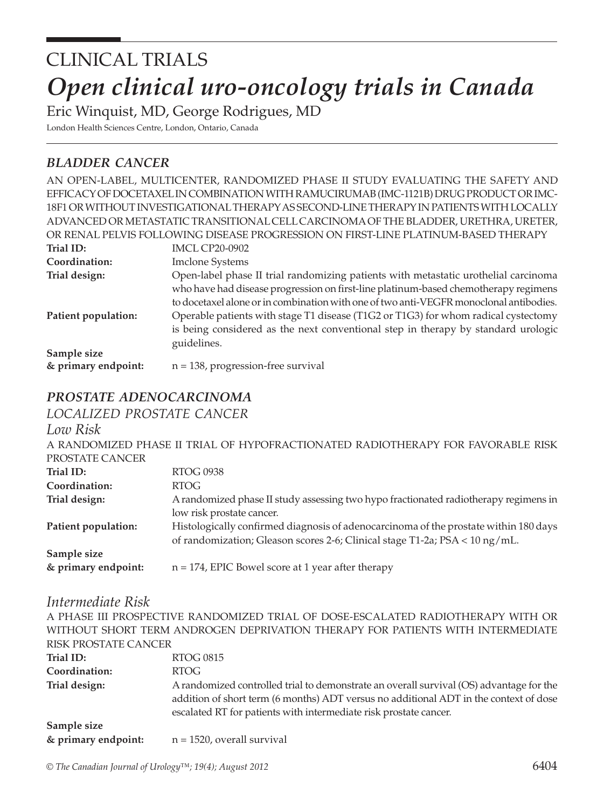# *Open clinical uro-oncology trials in Canada* CLINICAL TRIALS

Eric Winquist, MD, George Rodrigues, MD

London Health Sciences Centre, London, Ontario, Canada

## *bladder cancer*

|                     | AN OPEN-LABEL, MULTICENTER, RANDOMIZED PHASE II STUDY EVALUATING THE SAFETY AND         |
|---------------------|-----------------------------------------------------------------------------------------|
|                     | EFFICACY OF DOCETAXEL IN COMBINATION WITH RAMUCIRUMAB (IMC-1121B) DRUG PRODUCT OR IMC-  |
|                     | 18F1 OR WITHOUT INVESTIGATIONAL THERAPY AS SECOND-LINE THERAPY IN PATIENTS WITH LOCALLY |
|                     | ADVANCED OR METASTATIC TRANSITIONAL CELL CARCINOMA OF THE BLADDER, URETHRA, URETER,     |
|                     | OR RENAL PELVIS FOLLOWING DISEASE PROGRESSION ON FIRST-LINE PLATINUM-BASED THERAPY      |
| Trial ID:           | <b>IMCL CP20-0902</b>                                                                   |
| Coordination:       | <b>Imclone Systems</b>                                                                  |
| Trial design:       | Open-label phase II trial randomizing patients with metastatic urothelial carcinoma     |
|                     | who have had disease progression on first-line platinum-based chemotherapy regimens     |
|                     | to docetaxel alone or in combination with one of two anti-VEGFR monoclonal antibodies.  |
| Patient population: | Operable patients with stage T1 disease (T1G2 or T1G3) for whom radical cystectomy      |
|                     | is being considered as the next conventional step in therapy by standard urologic       |
|                     | guidelines.                                                                             |
| Sample size         |                                                                                         |
| & primary endpoint: | $n = 138$ , progression-free survival                                                   |

### *prostate adenocarcinoma*

*localized prostate cancer*

*Low Risk*

|                     | A RANDOMIZED PHASE II TRIAL OF HYPOFRACTIONATED RADIOTHERAPY FOR FAVORABLE RISK      |
|---------------------|--------------------------------------------------------------------------------------|
| PROSTATE CANCER     |                                                                                      |
| Trial ID:           | <b>RTOG 0938</b>                                                                     |
| Coordination:       | RTOG                                                                                 |
| Trial design:       | A randomized phase II study assessing two hypo fractionated radiotherapy regimens in |
|                     | low risk prostate cancer.                                                            |
| Patient population: | Histologically confirmed diagnosis of adenocarcinoma of the prostate within 180 days |
|                     | of randomization; Gleason scores 2-6; Clinical stage T1-2a; $PSA < 10$ ng/mL.        |
| Sample size         |                                                                                      |
| & primary endpoint: | $n = 174$ , EPIC Bowel score at 1 year after therapy                                 |
|                     |                                                                                      |

#### *Intermediate Risk*

A PHASE III PROSPECTIVE RANDOMIZED TRIAL OF DOSE-ESCALATED RADIOTHERAPY WITH OR WITHOUT SHORT TERM ANDROGEN DEPRIVATION THERAPY FOR PATIENTS WITH INTERMEDIATE RISK PROSTATE CANCER **Trial ID:** RTOG 0815 **Coordination:** RTOG **Trial design:** A randomized controlled trial to demonstrate an overall survival (OS) advantage for the addition of short term (6 months) ADT versus no additional ADT in the context of dose escalated RT for patients with intermediate risk prostate cancer. **Sample size & primary endpoint:** n = 1520, overall survival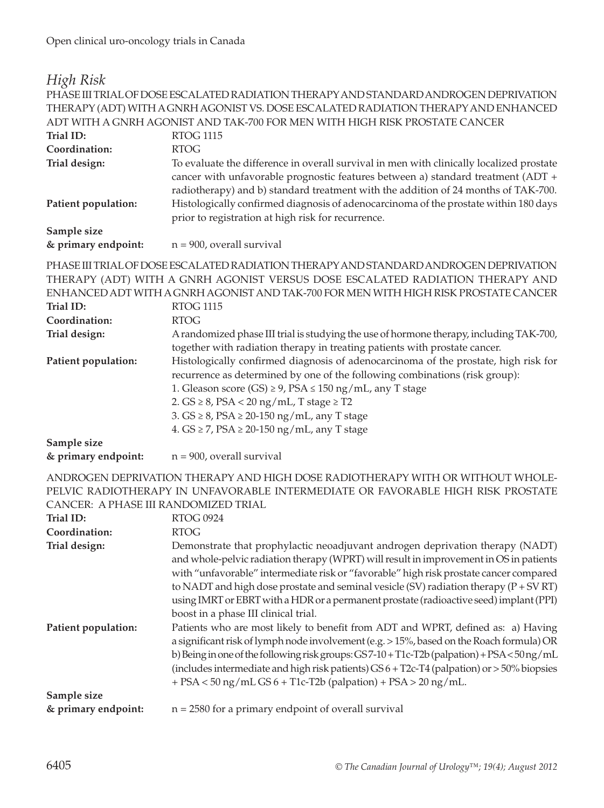## *High Risk*

|                                      | PHASE III TRIAL OF DOSE ESCALATED RADIATION THERAPY AND STANDARD ANDROGEN DEPRIVATION                                                                                                                                                                                                                                                                                                                                                                                                          |
|--------------------------------------|------------------------------------------------------------------------------------------------------------------------------------------------------------------------------------------------------------------------------------------------------------------------------------------------------------------------------------------------------------------------------------------------------------------------------------------------------------------------------------------------|
|                                      | THERAPY (ADT) WITH A GNRH AGONIST VS. DOSE ESCALATED RADIATION THERAPY AND ENHANCED                                                                                                                                                                                                                                                                                                                                                                                                            |
|                                      | ADT WITH A GNRH AGONIST AND TAK-700 FOR MEN WITH HIGH RISK PROSTATE CANCER                                                                                                                                                                                                                                                                                                                                                                                                                     |
| Trial ID:                            | <b>RTOG 1115</b>                                                                                                                                                                                                                                                                                                                                                                                                                                                                               |
| Coordination:                        | <b>RTOG</b>                                                                                                                                                                                                                                                                                                                                                                                                                                                                                    |
| Trial design:<br>Patient population: | To evaluate the difference in overall survival in men with clinically localized prostate<br>cancer with unfavorable prognostic features between a) standard treatment (ADT +<br>radiotherapy) and b) standard treatment with the addition of 24 months of TAK-700.<br>Histologically confirmed diagnosis of adenocarcinoma of the prostate within 180 days                                                                                                                                     |
|                                      | prior to registration at high risk for recurrence.                                                                                                                                                                                                                                                                                                                                                                                                                                             |
| Sample size                          |                                                                                                                                                                                                                                                                                                                                                                                                                                                                                                |
| & primary endpoint:                  | $n = 900$ , overall survival                                                                                                                                                                                                                                                                                                                                                                                                                                                                   |
| Trial ID:<br>Coordination:           | PHASE III TRIAL OF DOSE ESCALATED RADIATION THERAPY AND STANDARD ANDROGEN DEPRIVATION<br>THERAPY (ADT) WITH A GNRH AGONIST VERSUS DOSE ESCALATED RADIATION THERAPY AND<br>ENHANCED ADT WITH A GNRH AGONIST AND TAK-700 FOR MEN WITH HIGH RISK PROSTATE CANCER<br><b>RTOG 1115</b><br><b>RTOG</b>                                                                                                                                                                                               |
| Trial design:                        | A randomized phase III trial is studying the use of hormone therapy, including TAK-700,<br>together with radiation therapy in treating patients with prostate cancer.                                                                                                                                                                                                                                                                                                                          |
| Patient population:                  | Histologically confirmed diagnosis of adenocarcinoma of the prostate, high risk for<br>recurrence as determined by one of the following combinations (risk group):<br>1. Gleason score (GS) $\geq$ 9, PSA $\leq$ 150 ng/mL, any T stage<br>2. $GS \geq 8$ , $PSA < 20$ ng/mL, T stage $\geq$ T2<br>3. $GS \geq 8$ , $PSA \geq 20-150$ ng/mL, any T stage<br>4. $GS \ge 7$ , $PSA \ge 20-150$ ng/mL, any T stage                                                                                |
| Sample size                          |                                                                                                                                                                                                                                                                                                                                                                                                                                                                                                |
| & primary endpoint:                  | $n = 900$ , overall survival                                                                                                                                                                                                                                                                                                                                                                                                                                                                   |
| CANCER: A PHASE III RANDOMIZED TRIAL | ANDROGEN DEPRIVATION THERAPY AND HIGH DOSE RADIOTHERAPY WITH OR WITHOUT WHOLE-<br>PELVIC RADIOTHERAPY IN UNFAVORABLE INTERMEDIATE OR FAVORABLE HIGH RISK PROSTATE                                                                                                                                                                                                                                                                                                                              |
| <b>Trial ID:</b>                     | <b>RTOG 0924</b>                                                                                                                                                                                                                                                                                                                                                                                                                                                                               |
| Coordination:                        | <b>RTOG</b>                                                                                                                                                                                                                                                                                                                                                                                                                                                                                    |
| Trial design:                        | Demonstrate that prophylactic neoadjuvant androgen deprivation therapy (NADT)<br>and whole-pelvic radiation therapy (WPRT) will result in improvement in OS in patients<br>with "unfavorable" intermediate risk or "favorable" high risk prostate cancer compared<br>to NADT and high dose prostate and seminal vesicle (SV) radiation therapy $(P + SV RT)$<br>using IMRT or EBRT with a HDR or a permanent prostate (radioactive seed) implant (PPI)<br>boost in a phase III clinical trial. |
| Patient population:                  | Patients who are most likely to benefit from ADT and WPRT, defined as: a) Having<br>a significant risk of lymph node involvement (e.g. > 15%, based on the Roach formula) OR<br>b) Being in one of the following risk groups: GS7-10+T1c-T2b (palpation) + PSA < 50 ng/mL<br>(includes intermediate and high risk patients) GS 6 + T2c-T4 (palpation) or > 50% biopsies<br>$+$ PSA < 50 ng/mL GS 6 + T1c-T2b (palpation) + PSA > 20 ng/mL.                                                     |
| Sample size                          |                                                                                                                                                                                                                                                                                                                                                                                                                                                                                                |
| & primary endpoint:                  | $n = 2580$ for a primary endpoint of overall survival                                                                                                                                                                                                                                                                                                                                                                                                                                          |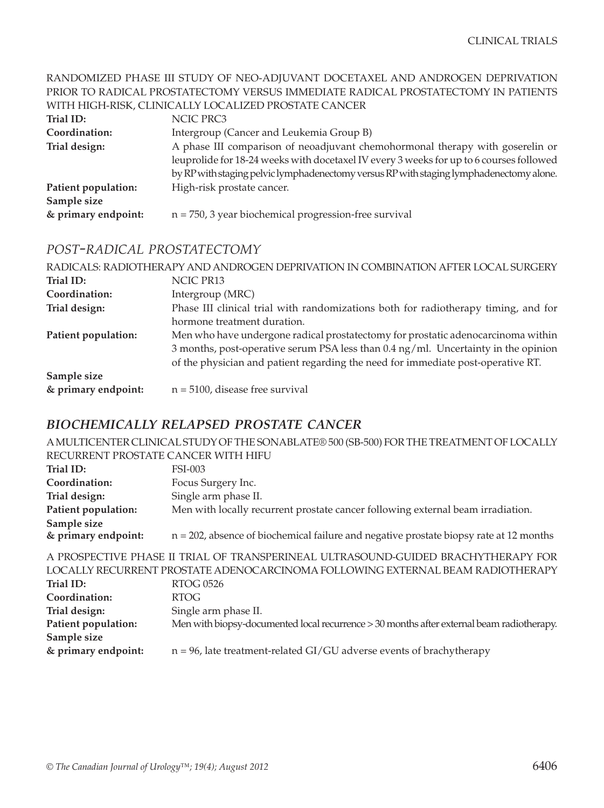#### RANDOMIZED PHASE III STUDY OF NEO-ADJUVANT DOCETAXEL AND ANDROGEN DEPRIVATION PRIOR TO RADICAL PROSTATECTOMY VERSUS IMMEDIATE RADICAL PROSTATECTOMY IN PATIENTS WITH HIGH-RISK, CLINICALLY LOCALIZED PROSTATE CANCER

| Trial ID:           | NCIC PRC3                                                                               |
|---------------------|-----------------------------------------------------------------------------------------|
| Coordination:       | Intergroup (Cancer and Leukemia Group B)                                                |
| Trial design:       | A phase III comparison of neoadjuvant chemohormonal therapy with goserelin or           |
|                     | leuprolide for 18-24 weeks with docetaxel IV every 3 weeks for up to 6 courses followed |
|                     | by RP with staging pelvic lymphadenectomy versus RP with staging lymphadenectomy alone. |
| Patient population: | High-risk prostate cancer.                                                              |
| Sample size         |                                                                                         |
| & primary endpoint: | $n = 750$ , 3 year biochemical progression-free survival                                |

#### *post-radical prostatectomy*

|                     | RADICALS: RADIOTHERAPY AND ANDROGEN DEPRIVATION IN COMBINATION AFTER LOCAL SURGERY |
|---------------------|------------------------------------------------------------------------------------|
| Trial ID:           | NCIC PR13                                                                          |
| Coordination:       | Intergroup (MRC)                                                                   |
| Trial design:       | Phase III clinical trial with randomizations both for radiotherapy timing, and for |
|                     | hormone treatment duration.                                                        |
| Patient population: | Men who have undergone radical prostatectomy for prostatic adenocarcinoma within   |
|                     | 3 months, post-operative serum PSA less than 0.4 ng/ml. Uncertainty in the opinion |
|                     | of the physician and patient regarding the need for immediate post-operative RT.   |
| Sample size         |                                                                                    |
| & primary endpoint: | $n = 5100$ , disease free survival                                                 |

### *biochemically relapsed prostate cancer*

A MULTICENTER CLINICAL STUDY OF THE SONABLATE® 500 (SB-500) FOR THE TREATMENT OF LOCALLY RECURRENT PROSTATE CANCER WITH HIFU

| Trial ID:           | FSI-003                                                                                   |
|---------------------|-------------------------------------------------------------------------------------------|
| Coordination:       | Focus Surgery Inc.                                                                        |
| Trial design:       | Single arm phase II.                                                                      |
| Patient population: | Men with locally recurrent prostate cancer following external beam irradiation.           |
| Sample size         |                                                                                           |
| & primary endpoint: | $n = 202$ , absence of biochemical failure and negative prostate biopsy rate at 12 months |
|                     |                                                                                           |

A PROSPECTIVE PHASE II TRIAL OF TRANSPERINEAL ULTRASOUND-GUIDED BRACHYTHERAPY FOR LOCALLY RECURRENT PROSTATE ADENOCARCINOMA FOLLOWING EXTERNAL BEAM RADIOTHERAPY **Trial ID:** RTOG 0526 **Coordination:** RTOG **Trial design:** Single arm phase II. **Patient population:** Men with biopsy-documented local recurrence > 30 months after external beam radiotherapy. **Sample size & primary endpoint:** n = 96, late treatment-related GI/GU adverse events of brachytherapy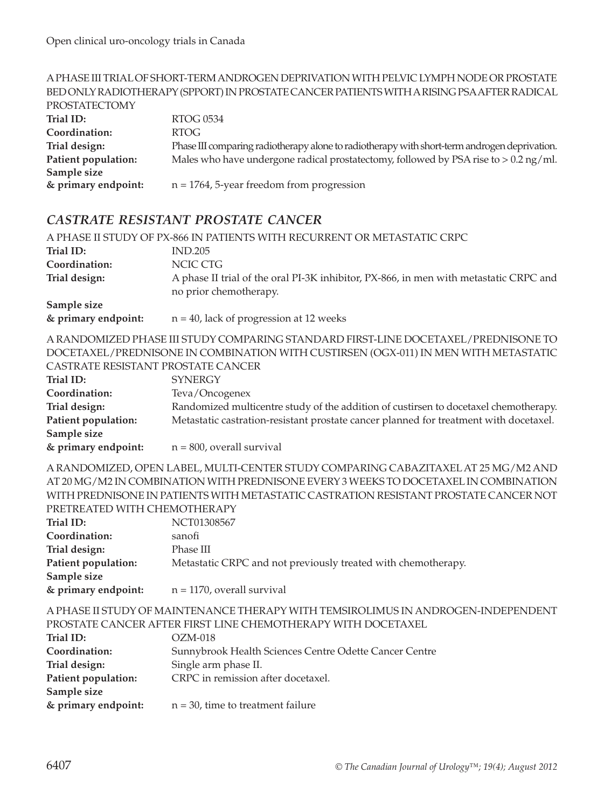#### A PHASE III TRIAL OF SHORT-TERM ANDROGEN DEPRIVATION WITH PELVIC LYMPH NODE OR PROSTATE BED ONLY RADIOTHERAPY (SPPORT) IN PROSTATE CANCER PATIENTS WITH A RISING PSA AFTER RADICAL PROSTATECTOMY **Trial ID:** RTOG 0534 **Coordination:** RTOG **Trial design:** Phase III comparing radiotherapy alone to radiotherapy with short-term androgen deprivation. **Patient population:** Males who have undergone radical prostatectomy, followed by PSA rise to > 0.2 ng/ml. **Sample size & primary endpoint:** n = 1764, 5-year freedom from progression

#### *castrate resistant prostate cancer*

|                                      | A PHASE II STUDY OF PX-866 IN PATIENTS WITH RECURRENT OR METASTATIC CRPC                                        |
|--------------------------------------|-----------------------------------------------------------------------------------------------------------------|
| Trial ID:                            | <b>IND.205</b>                                                                                                  |
| Coordination:                        | NCIC CTG                                                                                                        |
| Trial design:                        | A phase II trial of the oral PI-3K inhibitor, PX-866, in men with metastatic CRPC and<br>no prior chemotherapy. |
| Sample size<br>$l$ numowe onderoint. | $n = 40$ lack of progression at 12 used $\epsilon$                                                              |

**& primary endpoint:** n = 40, lack of progression at 12 weeks

A RANDOMIZED PHASE III STUDY COMPARING STANDARD FIRST-LINE DOCETAXEL/PREDNISONE TO DOCETAXEL/PREDNISONE IN COMBINATION WITH CUSTIRSEN (OGX-011) IN MEN WITH METASTATIC CASTRATE RESISTANT PROSTATE CANCER

| CASI NATE NESISTAIVI T'NOSTATE CAINCEN- |                                                                                       |
|-----------------------------------------|---------------------------------------------------------------------------------------|
| Trial ID:                               | <b>SYNERGY</b>                                                                        |
| Coordination:                           | Teva/Oncogenex                                                                        |
| Trial design:                           | Randomized multicentre study of the addition of custirsen to docetaxel chemotherapy.  |
| Patient population:                     | Metastatic castration-resistant prostate cancer planned for treatment with docetaxel. |
| Sample size                             |                                                                                       |
| & primary endpoint:                     | $n = 800$ , overall survival                                                          |

A RANDOMIZED, OPEN LABEL, MULTI-CENTER STUDY COMPARING CABAZITAXEL AT 25 MG/M2 AND AT 20 MG/M2 IN COMBINATION WITH PREDNISONE EVERY 3 WEEKS TO DOCETAXEL IN COMBINATION WITH PREDNISONE IN PATIENTS WITH METASTATIC CASTRATION RESISTANT PROSTATE CANCER NOT PRETREATED WITH CHEMOTHERAPY

| Trial ID:           | NCT01308567                                                   |
|---------------------|---------------------------------------------------------------|
| Coordination:       | sanofi                                                        |
| Trial design:       | Phase III                                                     |
| Patient population: | Metastatic CRPC and not previously treated with chemotherapy. |
| Sample size         |                                                               |
| & primary endpoint: | $n = 1170$ , overall survival                                 |

A PHASE II STUDY OF MAINTENANCE THERAPY WITH TEMSIROLIMUS IN ANDROGEN-INDEPENDENT PROSTATE CANCER AFTER FIRST LINE CHEMOTHERAPY WITH DOCETAXEL

| Trial ID:           | $OZM-018$                                              |
|---------------------|--------------------------------------------------------|
| Coordination:       | Sunnybrook Health Sciences Centre Odette Cancer Centre |
| Trial design:       | Single arm phase II.                                   |
| Patient population: | CRPC in remission after docetaxel.                     |
| Sample size         |                                                        |
| & primary endpoint: | $n = 30$ , time to treatment failure                   |